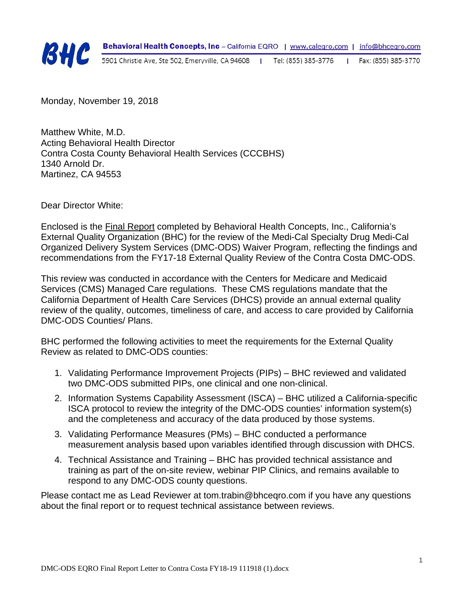

Monday, November 19, 2018

Matthew White, M.D. Acting Behavioral Health Director Contra Costa County Behavioral Health Services (CCCBHS) 1340 Arnold Dr. Martinez, CA 94553

Dear Director White:

Enclosed is the Final Report completed by Behavioral Health Concepts, Inc., California's External Quality Organization (BHC) for the review of the Medi-Cal Specialty Drug Medi-Cal Organized Delivery System Services (DMC-ODS) Waiver Program, reflecting the findings and recommendations from the FY17-18 External Quality Review of the Contra Costa DMC-ODS.

This review was conducted in accordance with the Centers for Medicare and Medicaid Services (CMS) Managed Care regulations. These CMS regulations mandate that the California Department of Health Care Services (DHCS) provide an annual external quality review of the quality, outcomes, timeliness of care, and access to care provided by California DMC-ODS Counties/ Plans.

BHC performed the following activities to meet the requirements for the External Quality Review as related to DMC-ODS counties:

- 1. Validating Performance Improvement Projects (PIPs) BHC reviewed and validated two DMC-ODS submitted PIPs, one clinical and one non-clinical.
- 2. Information Systems Capability Assessment (ISCA) BHC utilized a California-specific ISCA protocol to review the integrity of the DMC-ODS counties' information system(s) and the completeness and accuracy of the data produced by those systems.
- 3. Validating Performance Measures (PMs) BHC conducted a performance measurement analysis based upon variables identified through discussion with DHCS.
- 4. Technical Assistance and Training BHC has provided technical assistance and training as part of the on-site review, webinar PIP Clinics, and remains available to respond to any DMC-ODS county questions.

Please contact me as Lead Reviewer at tom.trabin@bhceqro.com if you have any questions about the final report or to request technical assistance between reviews.